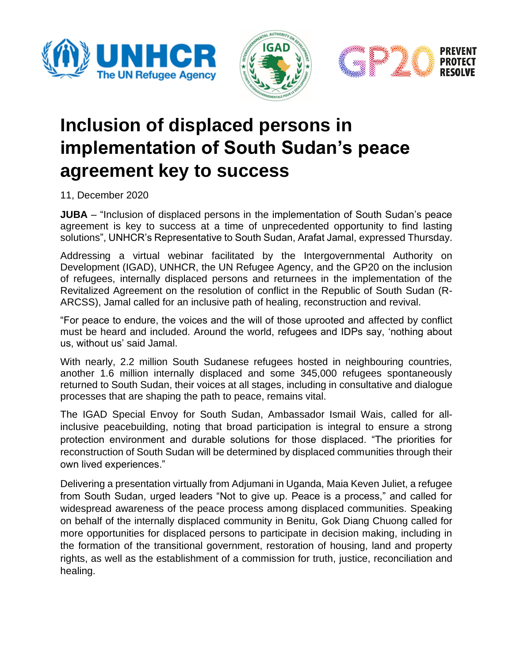





## **Inclusion of displaced persons in implementation of South Sudan's peace agreement key to success**

11, December 2020

**JUBA** – "Inclusion of displaced persons in the implementation of South Sudan's peace agreement is key to success at a time of unprecedented opportunity to find lasting solutions", UNHCR's Representative to South Sudan, Arafat Jamal, expressed Thursday.

Addressing a virtual webinar facilitated by the Intergovernmental Authority on Development (IGAD), UNHCR, the UN Refugee Agency, and the GP20 on the inclusion of refugees, internally displaced persons and returnees in the implementation of the Revitalized Agreement on the resolution of conflict in the Republic of South Sudan (R-ARCSS), Jamal called for an inclusive path of healing, reconstruction and revival.

"For peace to endure, the voices and the will of those uprooted and affected by conflict must be heard and included. Around the world, refugees and IDPs say, 'nothing about us, without us' said Jamal.

With nearly, 2.2 million South Sudanese refugees hosted in neighbouring countries, another 1.6 million internally displaced and some 345,000 refugees spontaneously returned to South Sudan, their voices at all stages, including in consultative and dialogue processes that are shaping the path to peace, remains vital.

The IGAD Special Envoy for South Sudan, Ambassador Ismail Wais, called for allinclusive peacebuilding, noting that broad participation is integral to ensure a strong protection environment and durable solutions for those displaced. "The priorities for reconstruction of South Sudan will be determined by displaced communities through their own lived experiences."

Delivering a presentation virtually from Adjumani in Uganda, Maia Keven Juliet, a refugee from South Sudan, urged leaders "Not to give up. Peace is a process," and called for widespread awareness of the peace process among displaced communities. Speaking on behalf of the internally displaced community in Benitu, Gok Diang Chuong called for more opportunities for displaced persons to participate in decision making, including in the formation of the transitional government, restoration of housing, land and property rights, as well as the establishment of a commission for truth, justice, reconciliation and healing.